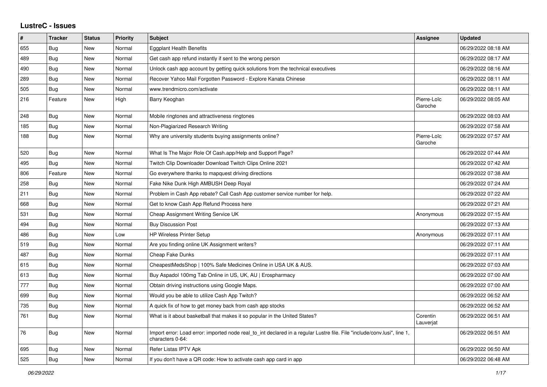## **LustreC - Issues**

| #   | <b>Tracker</b> | <b>Status</b> | <b>Priority</b> | <b>Subject</b>                                                                                                                               | <b>Assignee</b>        | <b>Updated</b>      |
|-----|----------------|---------------|-----------------|----------------------------------------------------------------------------------------------------------------------------------------------|------------------------|---------------------|
| 655 | <b>Bug</b>     | New           | Normal          | <b>Eggplant Health Benefits</b>                                                                                                              |                        | 06/29/2022 08:18 AM |
| 489 | Bug            | New           | Normal          | Get cash app refund instantly if sent to the wrong person                                                                                    |                        | 06/29/2022 08:17 AM |
| 490 | <b>Bug</b>     | New           | Normal          | Unlock cash app account by getting quick solutions from the technical executives                                                             |                        | 06/29/2022 08:16 AM |
| 289 | <b>Bug</b>     | <b>New</b>    | Normal          | Recover Yahoo Mail Forgotten Password - Explore Kanata Chinese                                                                               |                        | 06/29/2022 08:11 AM |
| 505 | Bug            | <b>New</b>    | Normal          | www.trendmicro.com/activate                                                                                                                  |                        | 06/29/2022 08:11 AM |
| 216 | Feature        | <b>New</b>    | High            | Barry Keoghan                                                                                                                                | Pierre-Loïc<br>Garoche | 06/29/2022 08:05 AM |
| 248 | <b>Bug</b>     | New           | Normal          | Mobile ringtones and attractiveness ringtones                                                                                                |                        | 06/29/2022 08:03 AM |
| 185 | <b>Bug</b>     | New           | Normal          | Non-Plagiarized Research Writing                                                                                                             |                        | 06/29/2022 07:58 AM |
| 188 | Bug            | New           | Normal          | Why are university students buying assignments online?                                                                                       | Pierre-Loïc<br>Garoche | 06/29/2022 07:57 AM |
| 520 | <b>Bug</b>     | New           | Normal          | What Is The Major Role Of Cash.app/Help and Support Page?                                                                                    |                        | 06/29/2022 07:44 AM |
| 495 | Bug            | New           | Normal          | Twitch Clip Downloader Download Twitch Clips Online 2021                                                                                     |                        | 06/29/2022 07:42 AM |
| 806 | Feature        | New           | Normal          | Go everywhere thanks to mapquest driving directions                                                                                          |                        | 06/29/2022 07:38 AM |
| 258 | <b>Bug</b>     | New           | Normal          | Fake Nike Dunk High AMBUSH Deep Royal                                                                                                        |                        | 06/29/2022 07:24 AM |
| 211 | Bug            | <b>New</b>    | Normal          | Problem in Cash App rebate? Call Cash App customer service number for help.                                                                  |                        | 06/29/2022 07:22 AM |
| 668 | Bug            | New           | Normal          | Get to know Cash App Refund Process here                                                                                                     |                        | 06/29/2022 07:21 AM |
| 531 | <b>Bug</b>     | New           | Normal          | Cheap Assignment Writing Service UK                                                                                                          | Anonymous              | 06/29/2022 07:15 AM |
| 494 | Bug            | New           | Normal          | <b>Buy Discussion Post</b>                                                                                                                   |                        | 06/29/2022 07:13 AM |
| 486 | Bug            | New           | Low             | <b>HP Wireless Printer Setup</b>                                                                                                             | Anonymous              | 06/29/2022 07:11 AM |
| 519 | <b>Bug</b>     | New           | Normal          | Are you finding online UK Assignment writers?                                                                                                |                        | 06/29/2022 07:11 AM |
| 487 | Bug            | New           | Normal          | <b>Cheap Fake Dunks</b>                                                                                                                      |                        | 06/29/2022 07:11 AM |
| 615 | <b>Bug</b>     | New           | Normal          | CheapestMedsShop   100% Safe Medicines Online in USA UK & AUS.                                                                               |                        | 06/29/2022 07:03 AM |
| 613 | <b>Bug</b>     | New           | Normal          | Buy Aspadol 100mg Tab Online in US, UK, AU   Erospharmacy                                                                                    |                        | 06/29/2022 07:00 AM |
| 777 | Bug            | <b>New</b>    | Normal          | Obtain driving instructions using Google Maps.                                                                                               |                        | 06/29/2022 07:00 AM |
| 699 | Bug            | New           | Normal          | Would you be able to utilize Cash App Twitch?                                                                                                |                        | 06/29/2022 06:52 AM |
| 735 | Bug            | New           | Normal          | A quick fix of how to get money back from cash app stocks                                                                                    |                        | 06/29/2022 06:52 AM |
| 761 | <b>Bug</b>     | New           | Normal          | What is it about basketball that makes it so popular in the United States?                                                                   | Corentin<br>Lauverjat  | 06/29/2022 06:51 AM |
| 76  | Bug            | New           | Normal          | Import error: Load error: imported node real_to_int declared in a regular Lustre file. File "include/conv.lusi", line 1,<br>characters 0-64: |                        | 06/29/2022 06:51 AM |
| 695 | <b>Bug</b>     | New           | Normal          | Refer Listas IPTV Apk                                                                                                                        |                        | 06/29/2022 06:50 AM |
| 525 | <b>Bug</b>     | <b>New</b>    | Normal          | If you don't have a QR code: How to activate cash app card in app                                                                            |                        | 06/29/2022 06:48 AM |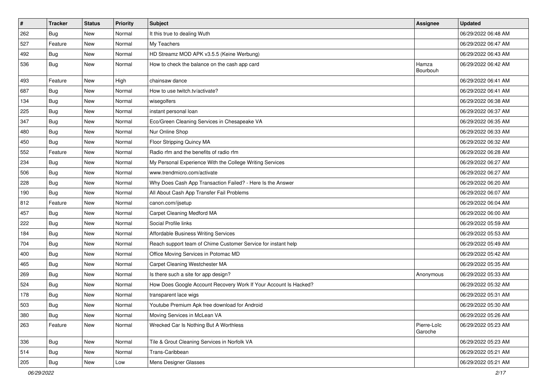| $\vert$ # | <b>Tracker</b> | <b>Status</b> | Priority | <b>Subject</b>                                                   | <b>Assignee</b>        | <b>Updated</b>      |
|-----------|----------------|---------------|----------|------------------------------------------------------------------|------------------------|---------------------|
| 262       | <b>Bug</b>     | New           | Normal   | It this true to dealing Wuth                                     |                        | 06/29/2022 06:48 AM |
| 527       | Feature        | New           | Normal   | My Teachers                                                      |                        | 06/29/2022 06:47 AM |
| 492       | Bug            | New           | Normal   | HD Streamz MOD APK v3.5.5 (Keine Werbung)                        |                        | 06/29/2022 06:43 AM |
| 536       | <b>Bug</b>     | New           | Normal   | How to check the balance on the cash app card                    | Hamza<br>Bourbouh      | 06/29/2022 06:42 AM |
| 493       | Feature        | New           | High     | chainsaw dance                                                   |                        | 06/29/2022 06:41 AM |
| 687       | Bug            | New           | Normal   | How to use twitch.tv/activate?                                   |                        | 06/29/2022 06:41 AM |
| 134       | Bug            | New           | Normal   | wisegolfers                                                      |                        | 06/29/2022 06:38 AM |
| 225       | <b>Bug</b>     | New           | Normal   | instant personal loan                                            |                        | 06/29/2022 06:37 AM |
| 347       | <b>Bug</b>     | New           | Normal   | Eco/Green Cleaning Services in Chesapeake VA                     |                        | 06/29/2022 06:35 AM |
| 480       | Bug            | New           | Normal   | Nur Online Shop                                                  |                        | 06/29/2022 06:33 AM |
| 450       | <b>Bug</b>     | New           | Normal   | Floor Stripping Quincy MA                                        |                        | 06/29/2022 06:32 AM |
| 552       | Feature        | New           | Normal   | Radio rfm and the benefits of radio rfm                          |                        | 06/29/2022 06:28 AM |
| 234       | Bug            | New           | Normal   | My Personal Experience With the College Writing Services         |                        | 06/29/2022 06:27 AM |
| 506       | <b>Bug</b>     | New           | Normal   | www.trendmicro.com/activate                                      |                        | 06/29/2022 06:27 AM |
| 228       | <b>Bug</b>     | New           | Normal   | Why Does Cash App Transaction Failed? - Here Is the Answer       |                        | 06/29/2022 06:20 AM |
| 190       | Bug            | New           | Normal   | All About Cash App Transfer Fail Problems                        |                        | 06/29/2022 06:07 AM |
| 812       | Feature        | New           | Normal   | canon.com/ijsetup                                                |                        | 06/29/2022 06:04 AM |
| 457       | <b>Bug</b>     | New           | Normal   | Carpet Cleaning Medford MA                                       |                        | 06/29/2022 06:00 AM |
| 222       | Bug            | New           | Normal   | Social Profile links                                             |                        | 06/29/2022 05:59 AM |
| 184       | Bug            | New           | Normal   | Affordable Business Writing Services                             |                        | 06/29/2022 05:53 AM |
| 704       | Bug            | New           | Normal   | Reach support team of Chime Customer Service for instant help    |                        | 06/29/2022 05:49 AM |
| 400       | <b>Bug</b>     | New           | Normal   | Office Moving Services in Potomac MD                             |                        | 06/29/2022 05:42 AM |
| 465       | <b>Bug</b>     | New           | Normal   | Carpet Cleaning Westchester MA                                   |                        | 06/29/2022 05:35 AM |
| 269       | <b>Bug</b>     | New           | Normal   | Is there such a site for app design?                             | Anonymous              | 06/29/2022 05:33 AM |
| 524       | Bug            | New           | Normal   | How Does Google Account Recovery Work If Your Account Is Hacked? |                        | 06/29/2022 05:32 AM |
| 178       | <b>Bug</b>     | New           | Normal   | transparent lace wigs                                            |                        | 06/29/2022 05:31 AM |
| 503       | <b>Bug</b>     | New           | Normal   | Youtube Premium Apk free download for Android                    |                        | 06/29/2022 05:30 AM |
| 380       | <b>Bug</b>     | New           | Normal   | Moving Services in McLean VA                                     |                        | 06/29/2022 05:26 AM |
| 263       | Feature        | New           | Normal   | Wrecked Car Is Nothing But A Worthless                           | Pierre-Loïc<br>Garoche | 06/29/2022 05:23 AM |
| 336       | Bug            | New           | Normal   | Tile & Grout Cleaning Services in Norfolk VA                     |                        | 06/29/2022 05:23 AM |
| 514       | Bug            | New           | Normal   | Trans-Caribbean                                                  |                        | 06/29/2022 05:21 AM |
| 205       | <b>Bug</b>     | New           | Low      | Mens Designer Glasses                                            |                        | 06/29/2022 05:21 AM |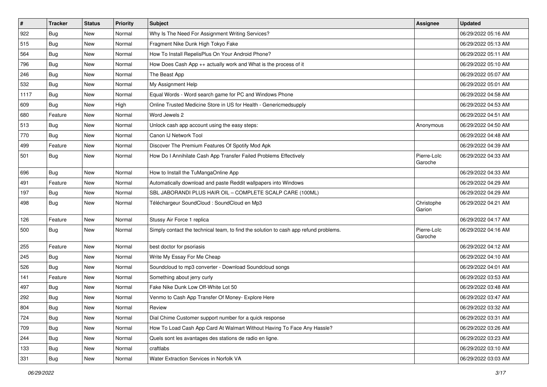| $\vert$ # | <b>Tracker</b> | <b>Status</b> | <b>Priority</b> | <b>Subject</b>                                                                       | <b>Assignee</b>        | <b>Updated</b>      |
|-----------|----------------|---------------|-----------------|--------------------------------------------------------------------------------------|------------------------|---------------------|
| 922       | <b>Bug</b>     | New           | Normal          | Why Is The Need For Assignment Writing Services?                                     |                        | 06/29/2022 05:16 AM |
| 515       | <b>Bug</b>     | New           | Normal          | Fragment Nike Dunk High Tokyo Fake                                                   |                        | 06/29/2022 05:13 AM |
| 564       | <b>Bug</b>     | New           | Normal          | How To Install RepelisPlus On Your Android Phone?                                    |                        | 06/29/2022 05:11 AM |
| 796       | Bug            | New           | Normal          | How Does Cash App ++ actually work and What is the process of it                     |                        | 06/29/2022 05:10 AM |
| 246       | Bug            | New           | Normal          | The Beast App                                                                        |                        | 06/29/2022 05:07 AM |
| 532       | <b>Bug</b>     | New           | Normal          | My Assignment Help                                                                   |                        | 06/29/2022 05:01 AM |
| 1117      | <b>Bug</b>     | New           | Normal          | Equal Words - Word search game for PC and Windows Phone                              |                        | 06/29/2022 04:58 AM |
| 609       | Bug            | New           | High            | Online Trusted Medicine Store in US for Health - Genericmedsupply                    |                        | 06/29/2022 04:53 AM |
| 680       | Feature        | New           | Normal          | Word Jewels 2                                                                        |                        | 06/29/2022 04:51 AM |
| 513       | Bug            | New           | Normal          | Unlock cash app account using the easy steps:                                        | Anonymous              | 06/29/2022 04:50 AM |
| 770       | <b>Bug</b>     | New           | Normal          | Canon IJ Network Tool                                                                |                        | 06/29/2022 04:48 AM |
| 499       | Feature        | New           | Normal          | Discover The Premium Features Of Spotify Mod Apk                                     |                        | 06/29/2022 04:39 AM |
| 501       | Bug            | New           | Normal          | How Do I Annihilate Cash App Transfer Failed Problems Effectively                    | Pierre-Loïc<br>Garoche | 06/29/2022 04:33 AM |
| 696       | <b>Bug</b>     | New           | Normal          | How to Install the TuMangaOnline App                                                 |                        | 06/29/2022 04:33 AM |
| 491       | Feature        | New           | Normal          | Automatically download and paste Reddit wallpapers into Windows                      |                        | 06/29/2022 04:29 AM |
| 197       | <b>Bug</b>     | New           | Normal          | SBL JABORANDI PLUS HAIR OIL - COMPLETE SCALP CARE (100ML)                            |                        | 06/29/2022 04:29 AM |
| 498       | Bug            | New           | Normal          | Téléchargeur SoundCloud : SoundCloud en Mp3                                          | Christophe<br>Garion   | 06/29/2022 04:21 AM |
| 126       | Feature        | New           | Normal          | Stussy Air Force 1 replica                                                           |                        | 06/29/2022 04:17 AM |
| 500       | Bug            | New           | Normal          | Simply contact the technical team, to find the solution to cash app refund problems. | Pierre-Loïc<br>Garoche | 06/29/2022 04:16 AM |
| 255       | Feature        | New           | Normal          | best doctor for psoriasis                                                            |                        | 06/29/2022 04:12 AM |
| 245       | <b>Bug</b>     | New           | Normal          | Write My Essay For Me Cheap                                                          |                        | 06/29/2022 04:10 AM |
| 526       | <b>Bug</b>     | New           | Normal          | Soundcloud to mp3 converter - Download Soundcloud songs                              |                        | 06/29/2022 04:01 AM |
| 141       | Feature        | New           | Normal          | Something about jerry curly                                                          |                        | 06/29/2022 03:53 AM |
| 497       | <b>Bug</b>     | New           | Normal          | Fake Nike Dunk Low Off-White Lot 50                                                  |                        | 06/29/2022 03:48 AM |
| 292       | <b>Bug</b>     | New           | Normal          | Venmo to Cash App Transfer Of Money- Explore Here                                    |                        | 06/29/2022 03:47 AM |
| 804       | <b>Bug</b>     | New           | Normal          | Review                                                                               |                        | 06/29/2022 03:32 AM |
| 724       | <b>Bug</b>     | New           | Normal          | Dial Chime Customer support number for a quick response                              |                        | 06/29/2022 03:31 AM |
| 709       | <b>Bug</b>     | New           | Normal          | How To Load Cash App Card At Walmart Without Having To Face Any Hassle?              |                        | 06/29/2022 03:26 AM |
| 244       | Bug            | New           | Normal          | Quels sont les avantages des stations de radio en ligne.                             |                        | 06/29/2022 03:23 AM |
| 133       | Bug            | New           | Normal          | craftlabs                                                                            |                        | 06/29/2022 03:10 AM |
| 331       | <b>Bug</b>     | New           | Normal          | Water Extraction Services in Norfolk VA                                              |                        | 06/29/2022 03:03 AM |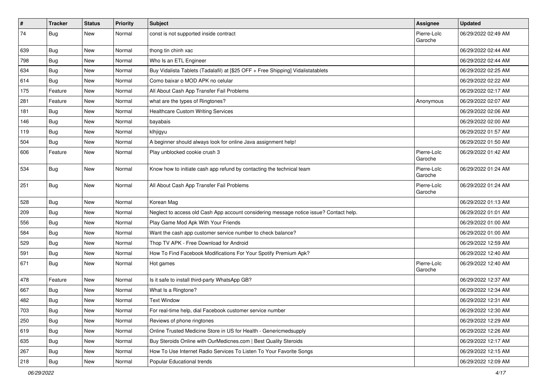| $\vert$ # | <b>Tracker</b> | <b>Status</b> | Priority | Subject                                                                                | Assignee               | <b>Updated</b>      |
|-----------|----------------|---------------|----------|----------------------------------------------------------------------------------------|------------------------|---------------------|
| 74        | <b>Bug</b>     | New           | Normal   | const is not supported inside contract                                                 | Pierre-Loïc<br>Garoche | 06/29/2022 02:49 AM |
| 639       | Bug            | New           | Normal   | thong tin chinh xac                                                                    |                        | 06/29/2022 02:44 AM |
| 798       | Bug            | New           | Normal   | Who Is an ETL Engineer                                                                 |                        | 06/29/2022 02:44 AM |
| 634       | <b>Bug</b>     | New           | Normal   | Buy Vidalista Tablets (Tadalafil) at [\$25 OFF + Free Shipping] Vidalistatablets       |                        | 06/29/2022 02:25 AM |
| 614       | Bug            | New           | Normal   | Como baixar o MOD APK no celular                                                       |                        | 06/29/2022 02:22 AM |
| 175       | Feature        | New           | Normal   | All About Cash App Transfer Fail Problems                                              |                        | 06/29/2022 02:17 AM |
| 281       | Feature        | New           | Normal   | what are the types of Ringtones?                                                       | Anonymous              | 06/29/2022 02:07 AM |
| 181       | <b>Bug</b>     | New           | Normal   | <b>Healthcare Custom Writing Services</b>                                              |                        | 06/29/2022 02:06 AM |
| 146       | Bug            | New           | Normal   | bayabais                                                                               |                        | 06/29/2022 02:00 AM |
| 119       | Bug            | New           | Normal   | klhjigyu                                                                               |                        | 06/29/2022 01:57 AM |
| 504       | <b>Bug</b>     | New           | Normal   | A beginner should always look for online Java assignment help!                         |                        | 06/29/2022 01:50 AM |
| 606       | Feature        | New           | Normal   | Play unblocked cookie crush 3                                                          | Pierre-Loïc<br>Garoche | 06/29/2022 01:42 AM |
| 534       | Bug            | New           | Normal   | Know how to initiate cash app refund by contacting the technical team                  | Pierre-Loïc<br>Garoche | 06/29/2022 01:24 AM |
| 251       | Bug            | New           | Normal   | All About Cash App Transfer Fail Problems                                              | Pierre-Loïc<br>Garoche | 06/29/2022 01:24 AM |
| 528       | Bug            | New           | Normal   | Korean Mag                                                                             |                        | 06/29/2022 01:13 AM |
| 209       | Bug            | New           | Normal   | Neglect to access old Cash App account considering message notice issue? Contact help. |                        | 06/29/2022 01:01 AM |
| 556       | <b>Bug</b>     | New           | Normal   | Play Game Mod Apk With Your Friends                                                    |                        | 06/29/2022 01:00 AM |
| 584       | <b>Bug</b>     | New           | Normal   | Want the cash app customer service number to check balance?                            |                        | 06/29/2022 01:00 AM |
| 529       | Bug            | New           | Normal   | Thop TV APK - Free Download for Android                                                |                        | 06/29/2022 12:59 AM |
| 591       | Bug            | New           | Normal   | How To Find Facebook Modifications For Your Spotify Premium Apk?                       |                        | 06/29/2022 12:40 AM |
| 671       | Bug            | New           | Normal   | Hot games                                                                              | Pierre-Loïc<br>Garoche | 06/29/2022 12:40 AM |
| 478       | Feature        | New           | Normal   | Is it safe to install third-party WhatsApp GB?                                         |                        | 06/29/2022 12:37 AM |
| 667       | <b>Bug</b>     | New           | Normal   | What Is a Ringtone?                                                                    |                        | 06/29/2022 12:34 AM |
| 482       | <b>Bug</b>     | New           | Normal   | <b>Text Window</b>                                                                     |                        | 06/29/2022 12:31 AM |
| 703       | Bug            | New           | Normal   | For real-time help, dial Facebook customer service number                              |                        | 06/29/2022 12:30 AM |
| 250       | <b>Bug</b>     | New           | Normal   | Reviews of phone ringtones                                                             |                        | 06/29/2022 12:29 AM |
| 619       | <b>Bug</b>     | New           | Normal   | Online Trusted Medicine Store in US for Health - Genericmedsupply                      |                        | 06/29/2022 12:26 AM |
| 635       | <b>Bug</b>     | New           | Normal   | Buy Steroids Online with OurMedicnes.com   Best Quality Steroids                       |                        | 06/29/2022 12:17 AM |
| 267       | Bug            | New           | Normal   | How To Use Internet Radio Services To Listen To Your Favorite Songs                    |                        | 06/29/2022 12:15 AM |
| 218       | Bug            | New           | Normal   | Popular Educational trends                                                             |                        | 06/29/2022 12:09 AM |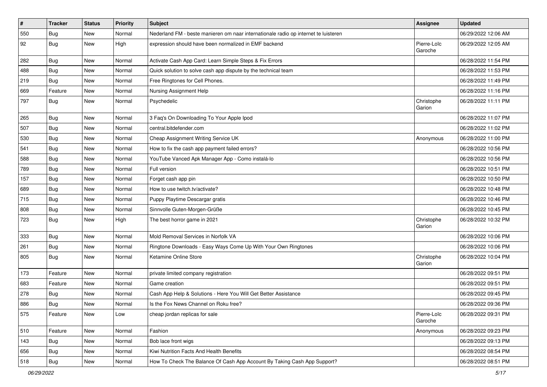| $\vert$ # | <b>Tracker</b> | <b>Status</b> | <b>Priority</b> | <b>Subject</b>                                                                      | Assignee               | <b>Updated</b>      |
|-----------|----------------|---------------|-----------------|-------------------------------------------------------------------------------------|------------------------|---------------------|
| 550       | <b>Bug</b>     | New           | Normal          | Nederland FM - beste manieren om naar internationale radio op internet te luisteren |                        | 06/29/2022 12:06 AM |
| 92        | Bug            | New           | High            | expression should have been normalized in EMF backend                               | Pierre-Loïc<br>Garoche | 06/29/2022 12:05 AM |
| 282       | Bug            | New           | Normal          | Activate Cash App Card: Learn Simple Steps & Fix Errors                             |                        | 06/28/2022 11:54 PM |
| 488       | <b>Bug</b>     | New           | Normal          | Quick solution to solve cash app dispute by the technical team                      |                        | 06/28/2022 11:53 PM |
| 219       | Bug            | New           | Normal          | Free Ringtones for Cell Phones.                                                     |                        | 06/28/2022 11:49 PM |
| 669       | Feature        | New           | Normal          | Nursing Assignment Help                                                             |                        | 06/28/2022 11:16 PM |
| 797       | Bug            | New           | Normal          | Psychedelic                                                                         | Christophe<br>Garion   | 06/28/2022 11:11 PM |
| 265       | <b>Bug</b>     | New           | Normal          | 3 Faq's On Downloading To Your Apple Ipod                                           |                        | 06/28/2022 11:07 PM |
| 507       | Bug            | New           | Normal          | central.bitdefender.com                                                             |                        | 06/28/2022 11:02 PM |
| 530       | <b>Bug</b>     | <b>New</b>    | Normal          | Cheap Assignment Writing Service UK                                                 | Anonymous              | 06/28/2022 11:00 PM |
| 541       | Bug            | New           | Normal          | How to fix the cash app payment failed errors?                                      |                        | 06/28/2022 10:56 PM |
| 588       | Bug            | New           | Normal          | YouTube Vanced Apk Manager App - Como instalá-lo                                    |                        | 06/28/2022 10:56 PM |
| 789       | Bug            | New           | Normal          | Full version                                                                        |                        | 06/28/2022 10:51 PM |
| 157       | Bug            | New           | Normal          | Forget cash app pin                                                                 |                        | 06/28/2022 10:50 PM |
| 689       | Bug            | New           | Normal          | How to use twitch.tv/activate?                                                      |                        | 06/28/2022 10:48 PM |
| 715       | <b>Bug</b>     | New           | Normal          | Puppy Playtime Descargar gratis                                                     |                        | 06/28/2022 10:46 PM |
| 808       | <b>Bug</b>     | New           | Normal          | Sinnvolle Guten-Morgen-Grüße                                                        |                        | 06/28/2022 10:45 PM |
| 723       | <b>Bug</b>     | New           | High            | The best horror game in 2021                                                        | Christophe<br>Garion   | 06/28/2022 10:32 PM |
| 333       | Bug            | New           | Normal          | Mold Removal Services in Norfolk VA                                                 |                        | 06/28/2022 10:06 PM |
| 261       | Bug            | New           | Normal          | Ringtone Downloads - Easy Ways Come Up With Your Own Ringtones                      |                        | 06/28/2022 10:06 PM |
| 805       | <b>Bug</b>     | New           | Normal          | Ketamine Online Store                                                               | Christophe<br>Garion   | 06/28/2022 10:04 PM |
| 173       | Feature        | New           | Normal          | private limited company registration                                                |                        | 06/28/2022 09:51 PM |
| 683       | Feature        | New           | Normal          | Game creation                                                                       |                        | 06/28/2022 09:51 PM |
| 278       | Bug            | New           | Normal          | Cash App Help & Solutions - Here You Will Get Better Assistance                     |                        | 06/28/2022 09:45 PM |
| 886       | Bug            | New           | Normal          | Is the Fox News Channel on Roku free?                                               |                        | 06/28/2022 09:36 PM |
| 575       | Feature        | New           | Low             | cheap jordan replicas for sale                                                      | Pierre-Loïc<br>Garoche | 06/28/2022 09:31 PM |
| 510       | Feature        | New           | Normal          | Fashion                                                                             | Anonymous              | 06/28/2022 09:23 PM |
| 143       | <b>Bug</b>     | New           | Normal          | Bob lace front wigs                                                                 |                        | 06/28/2022 09:13 PM |
| 656       | <b>Bug</b>     | New           | Normal          | Kiwi Nutrition Facts And Health Benefits                                            |                        | 06/28/2022 08:54 PM |
| 518       | Bug            | New           | Normal          | How To Check The Balance Of Cash App Account By Taking Cash App Support?            |                        | 06/28/2022 08:51 PM |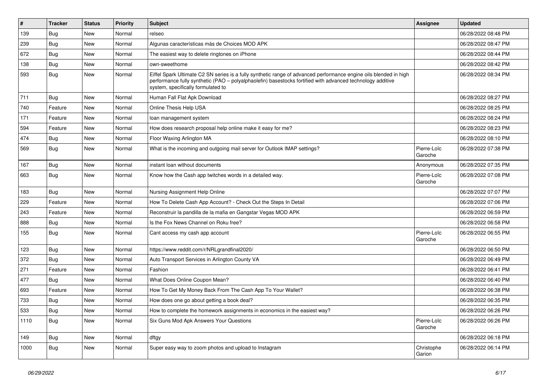| $\pmb{\sharp}$ | <b>Tracker</b> | <b>Status</b> | <b>Priority</b> | <b>Subject</b>                                                                                                                                                                                                                                                        | Assignee               | <b>Updated</b>      |
|----------------|----------------|---------------|-----------------|-----------------------------------------------------------------------------------------------------------------------------------------------------------------------------------------------------------------------------------------------------------------------|------------------------|---------------------|
| 139            | Bug            | New           | Normal          | relseo                                                                                                                                                                                                                                                                |                        | 06/28/2022 08:48 PM |
| 239            | <b>Bug</b>     | New           | Normal          | Algunas características más de Choices MOD APK                                                                                                                                                                                                                        |                        | 06/28/2022 08:47 PM |
| 672            | Bug            | New           | Normal          | The easiest way to delete ringtones on iPhone                                                                                                                                                                                                                         |                        | 06/28/2022 08:44 PM |
| 138            | Bug            | New           | Normal          | own-sweethome                                                                                                                                                                                                                                                         |                        | 06/28/2022 08:42 PM |
| 593            | Bug            | New           | Normal          | Eiffel Spark Ultimate C2 SN series is a fully synthetic range of advanced performance engine oils blended in high<br>performance fully synthetic (PAO – polyalphaolefin) basestocks fortified with advanced technology additive<br>system, specifically formulated to |                        | 06/28/2022 08:34 PM |
| 711            | <b>Bug</b>     | New           | Normal          | Human Fall Flat Apk Download                                                                                                                                                                                                                                          |                        | 06/28/2022 08:27 PM |
| 740            | Feature        | New           | Normal          | Online Thesis Help USA                                                                                                                                                                                                                                                |                        | 06/28/2022 08:25 PM |
| 171            | Feature        | New           | Normal          | loan management system                                                                                                                                                                                                                                                |                        | 06/28/2022 08:24 PM |
| 594            | Feature        | New           | Normal          | How does research proposal help online make it easy for me?                                                                                                                                                                                                           |                        | 06/28/2022 08:23 PM |
| 474            | <b>Bug</b>     | New           | Normal          | Floor Waxing Arlington MA                                                                                                                                                                                                                                             |                        | 06/28/2022 08:10 PM |
| 569            | Bug            | New           | Normal          | What is the incoming and outgoing mail server for Outlook IMAP settings?                                                                                                                                                                                              | Pierre-Loïc<br>Garoche | 06/28/2022 07:38 PM |
| 167            | Bug            | New           | Normal          | instant loan without documents                                                                                                                                                                                                                                        | Anonymous              | 06/28/2022 07:35 PM |
| 663            | Bug            | New           | Normal          | Know how the Cash app twitches words in a detailed way.                                                                                                                                                                                                               | Pierre-Loïc<br>Garoche | 06/28/2022 07:08 PM |
| 183            | Bug            | <b>New</b>    | Normal          | Nursing Assignment Help Online                                                                                                                                                                                                                                        |                        | 06/28/2022 07:07 PM |
| 229            | Feature        | <b>New</b>    | Normal          | How To Delete Cash App Account? - Check Out the Steps In Detail                                                                                                                                                                                                       |                        | 06/28/2022 07:06 PM |
| 243            | Feature        | New           | Normal          | Reconstruir la pandilla de la mafia en Gangstar Vegas MOD APK                                                                                                                                                                                                         |                        | 06/28/2022 06:59 PM |
| 888            | Bug            | New           | Normal          | Is the Fox News Channel on Roku free?                                                                                                                                                                                                                                 |                        | 06/28/2022 06:58 PM |
| 155            | <b>Bug</b>     | New           | Normal          | Cant access my cash app account                                                                                                                                                                                                                                       | Pierre-Loïc<br>Garoche | 06/28/2022 06:55 PM |
| 123            | Bug            | New           | Normal          | https://www.reddit.com/r/NRLgrandfinal2020/                                                                                                                                                                                                                           |                        | 06/28/2022 06:50 PM |
| 372            | Bug            | New           | Normal          | Auto Transport Services in Arlington County VA                                                                                                                                                                                                                        |                        | 06/28/2022 06:49 PM |
| 271            | Feature        | New           | Normal          | Fashion                                                                                                                                                                                                                                                               |                        | 06/28/2022 06:41 PM |
| 477            | Bug            | New           | Normal          | What Does Online Coupon Mean?                                                                                                                                                                                                                                         |                        | 06/28/2022 06:40 PM |
| 693            | Feature        | New           | Normal          | How To Get My Money Back From The Cash App To Your Wallet?                                                                                                                                                                                                            |                        | 06/28/2022 06:38 PM |
| 733            | Bug            | New           | Normal          | How does one go about getting a book deal?                                                                                                                                                                                                                            |                        | 06/28/2022 06:35 PM |
| 533            | Bug            | New           | Normal          | How to complete the homework assignments in economics in the easiest way?                                                                                                                                                                                             |                        | 06/28/2022 06:26 PM |
| 1110           | Bug            | New           | Normal          | Six Guns Mod Apk Answers Your Questions                                                                                                                                                                                                                               | Pierre-Loïc<br>Garoche | 06/28/2022 06:26 PM |
| 149            | <b>Bug</b>     | New           | Normal          | dftgy                                                                                                                                                                                                                                                                 |                        | 06/28/2022 06:18 PM |
| 1000           | Bug            | New           | Normal          | Super easy way to zoom photos and upload to Instagram                                                                                                                                                                                                                 | Christophe<br>Garion   | 06/28/2022 06:14 PM |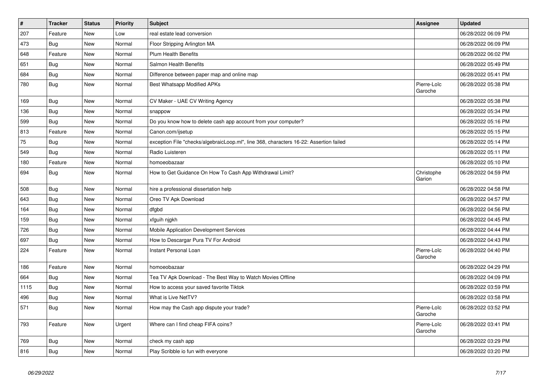| $\vert$ # | <b>Tracker</b> | <b>Status</b> | <b>Priority</b> | <b>Subject</b>                                                                         | <b>Assignee</b>        | <b>Updated</b>      |
|-----------|----------------|---------------|-----------------|----------------------------------------------------------------------------------------|------------------------|---------------------|
| 207       | Feature        | <b>New</b>    | Low             | real estate lead conversion                                                            |                        | 06/28/2022 06:09 PM |
| 473       | Bug            | New           | Normal          | Floor Stripping Arlington MA                                                           |                        | 06/28/2022 06:09 PM |
| 648       | Feature        | New           | Normal          | <b>Plum Health Benefits</b>                                                            |                        | 06/28/2022 06:02 PM |
| 651       | <b>Bug</b>     | New           | Normal          | Salmon Health Benefits                                                                 |                        | 06/28/2022 05:49 PM |
| 684       | Bug            | <b>New</b>    | Normal          | Difference between paper map and online map                                            |                        | 06/28/2022 05:41 PM |
| 780       | <b>Bug</b>     | New           | Normal          | Best Whatsapp Modified APKs                                                            | Pierre-Loïc<br>Garoche | 06/28/2022 05:38 PM |
| 169       | <b>Bug</b>     | New           | Normal          | CV Maker - UAE CV Writing Agency                                                       |                        | 06/28/2022 05:38 PM |
| 136       | <b>Bug</b>     | New           | Normal          | snappow                                                                                |                        | 06/28/2022 05:34 PM |
| 599       | <b>Bug</b>     | New           | Normal          | Do you know how to delete cash app account from your computer?                         |                        | 06/28/2022 05:16 PM |
| 813       | Feature        | New           | Normal          | Canon.com/ijsetup                                                                      |                        | 06/28/2022 05:15 PM |
| 75        | <b>Bug</b>     | New           | Normal          | exception File "checks/algebraicLoop.ml", line 368, characters 16-22: Assertion failed |                        | 06/28/2022 05:14 PM |
| 549       | Bug            | New           | Normal          | Radio Luisteren                                                                        |                        | 06/28/2022 05:11 PM |
| 180       | Feature        | New           | Normal          | homoeobazaar                                                                           |                        | 06/28/2022 05:10 PM |
| 694       | <b>Bug</b>     | New           | Normal          | How to Get Guidance On How To Cash App Withdrawal Limit?                               | Christophe<br>Garion   | 06/28/2022 04:59 PM |
| 508       | Bug            | New           | Normal          | hire a professional dissertation help                                                  |                        | 06/28/2022 04:58 PM |
| 643       | Bug            | New           | Normal          | Oreo TV Apk Download                                                                   |                        | 06/28/2022 04:57 PM |
| 164       | Bug            | New           | Normal          | dfgbd                                                                                  |                        | 06/28/2022 04:56 PM |
| 159       | <b>Bug</b>     | New           | Normal          | xfguih njgkh                                                                           |                        | 06/28/2022 04:45 PM |
| 726       | <b>Bug</b>     | New           | Normal          | Mobile Application Development Services                                                |                        | 06/28/2022 04:44 PM |
| 697       | <b>Bug</b>     | New           | Normal          | How to Descargar Pura TV For Android                                                   |                        | 06/28/2022 04:43 PM |
| 224       | Feature        | New           | Normal          | Instant Personal Loan                                                                  | Pierre-Loïc<br>Garoche | 06/28/2022 04:40 PM |
| 186       | Feature        | New           | Normal          | homoeobazaar                                                                           |                        | 06/28/2022 04:29 PM |
| 664       | Bug            | New           | Normal          | Tea TV Apk Download - The Best Way to Watch Movies Offline                             |                        | 06/28/2022 04:09 PM |
| 1115      | Bug            | New           | Normal          | How to access your saved favorite Tiktok                                               |                        | 06/28/2022 03:59 PM |
| 496       | <b>Bug</b>     | New           | Normal          | What is Live NetTV?                                                                    |                        | 06/28/2022 03:58 PM |
| 571       | <b>Bug</b>     | New           | Normal          | How may the Cash app dispute your trade?                                               | Pierre-Loïc<br>Garoche | 06/28/2022 03:52 PM |
| 793       | Feature        | New           | Urgent          | Where can I find cheap FIFA coins?                                                     | Pierre-Loïc<br>Garoche | 06/28/2022 03:41 PM |
| 769       | Bug            | New           | Normal          | check my cash app                                                                      |                        | 06/28/2022 03:29 PM |
| 816       | Bug            | New           | Normal          | Play Scribble io fun with everyone                                                     |                        | 06/28/2022 03:20 PM |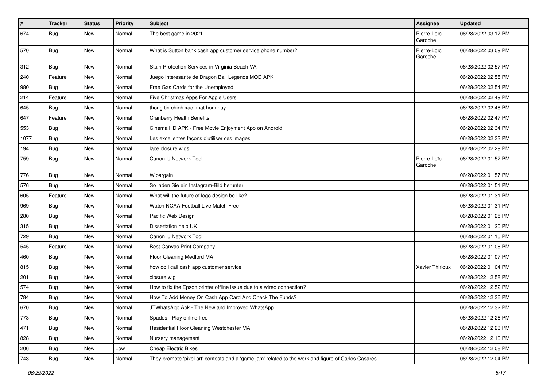| $\vert$ # | <b>Tracker</b> | <b>Status</b> | <b>Priority</b> | Subject                                                                                             | <b>Assignee</b>        | <b>Updated</b>      |
|-----------|----------------|---------------|-----------------|-----------------------------------------------------------------------------------------------------|------------------------|---------------------|
| 674       | Bug            | New           | Normal          | The best game in 2021                                                                               | Pierre-Loïc<br>Garoche | 06/28/2022 03:17 PM |
| 570       | Bug            | New           | Normal          | What is Sutton bank cash app customer service phone number?                                         | Pierre-Loïc<br>Garoche | 06/28/2022 03:09 PM |
| 312       | <b>Bug</b>     | New           | Normal          | Stain Protection Services in Virginia Beach VA                                                      |                        | 06/28/2022 02:57 PM |
| 240       | Feature        | New           | Normal          | Juego interesante de Dragon Ball Legends MOD APK                                                    |                        | 06/28/2022 02:55 PM |
| 980       | <b>Bug</b>     | New           | Normal          | Free Gas Cards for the Unemployed                                                                   |                        | 06/28/2022 02:54 PM |
| 214       | Feature        | New           | Normal          | Five Christmas Apps For Apple Users                                                                 |                        | 06/28/2022 02:49 PM |
| 645       | Bug            | New           | Normal          | thong tin chinh xac nhat hom nay                                                                    |                        | 06/28/2022 02:48 PM |
| 647       | Feature        | New           | Normal          | <b>Cranberry Health Benefits</b>                                                                    |                        | 06/28/2022 02:47 PM |
| 553       | Bug            | New           | Normal          | Cinema HD APK - Free Movie Enjoyment App on Android                                                 |                        | 06/28/2022 02:34 PM |
| 1077      | <b>Bug</b>     | New           | Normal          | Les excellentes façons d'utiliser ces images                                                        |                        | 06/28/2022 02:33 PM |
| 194       | Bug            | New           | Normal          | lace closure wigs                                                                                   |                        | 06/28/2022 02:29 PM |
| 759       | <b>Bug</b>     | New           | Normal          | Canon IJ Network Tool                                                                               | Pierre-Loïc<br>Garoche | 06/28/2022 01:57 PM |
| 776       | Bug            | New           | Normal          | Wibargain                                                                                           |                        | 06/28/2022 01:57 PM |
| 576       | Bug            | New           | Normal          | So laden Sie ein Instagram-Bild herunter                                                            |                        | 06/28/2022 01:51 PM |
| 605       | Feature        | New           | Normal          | What will the future of logo design be like?                                                        |                        | 06/28/2022 01:31 PM |
| 969       | <b>Bug</b>     | New           | Normal          | Watch NCAA Football Live Match Free                                                                 |                        | 06/28/2022 01:31 PM |
| 280       | <b>Bug</b>     | New           | Normal          | Pacific Web Design                                                                                  |                        | 06/28/2022 01:25 PM |
| 315       | Bug            | New           | Normal          | Dissertation help UK                                                                                |                        | 06/28/2022 01:20 PM |
| 729       | <b>Bug</b>     | New           | Normal          | Canon IJ Network Tool                                                                               |                        | 06/28/2022 01:10 PM |
| 545       | Feature        | New           | Normal          | <b>Best Canvas Print Company</b>                                                                    |                        | 06/28/2022 01:08 PM |
| 460       | <b>Bug</b>     | New           | Normal          | Floor Cleaning Medford MA                                                                           |                        | 06/28/2022 01:07 PM |
| 815       | Bug            | New           | Normal          | how do i call cash app customer service                                                             | Xavier Thirioux        | 06/28/2022 01:04 PM |
| 201       | Bug            | New           | Normal          | closure wig                                                                                         |                        | 06/28/2022 12:58 PM |
| 574       | Bug            | New           | Normal          | How to fix the Epson printer offline issue due to a wired connection?                               |                        | 06/28/2022 12:52 PM |
| 784       | <b>Bug</b>     | New           | Normal          | How To Add Money On Cash App Card And Check The Funds?                                              |                        | 06/28/2022 12:36 PM |
| 670       | Bug            | New           | Normal          | JTWhatsApp Apk - The New and Improved WhatsApp                                                      |                        | 06/28/2022 12:32 PM |
| 773       | <b>Bug</b>     | New           | Normal          | Spades - Play online free                                                                           |                        | 06/28/2022 12:26 PM |
| 471       | <b>Bug</b>     | New           | Normal          | Residential Floor Cleaning Westchester MA                                                           |                        | 06/28/2022 12:23 PM |
| 828       | <b>Bug</b>     | New           | Normal          | Nursery management                                                                                  |                        | 06/28/2022 12:10 PM |
| 206       | <b>Bug</b>     | New           | Low             | <b>Cheap Electric Bikes</b>                                                                         |                        | 06/28/2022 12:08 PM |
| 743       | <b>Bug</b>     | New           | Normal          | They promote 'pixel art' contests and a 'game jam' related to the work and figure of Carlos Casares |                        | 06/28/2022 12:04 PM |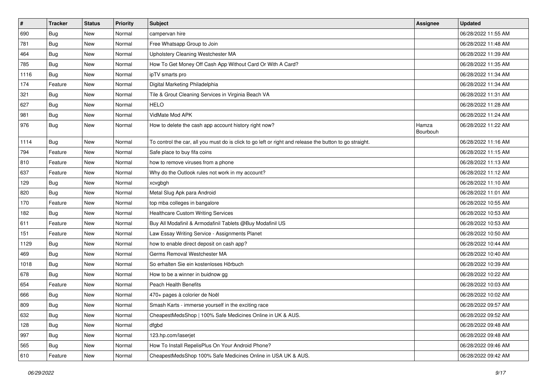| $\vert$ # | <b>Tracker</b> | <b>Status</b> | <b>Priority</b> | Subject                                                                                                 | <b>Assignee</b>   | <b>Updated</b>      |
|-----------|----------------|---------------|-----------------|---------------------------------------------------------------------------------------------------------|-------------------|---------------------|
| 690       | <b>Bug</b>     | New           | Normal          | campervan hire                                                                                          |                   | 06/28/2022 11:55 AM |
| 781       | Bug            | New           | Normal          | Free Whatsapp Group to Join                                                                             |                   | 06/28/2022 11:48 AM |
| 464       | <b>Bug</b>     | New           | Normal          | Upholstery Cleaning Westchester MA                                                                      |                   | 06/28/2022 11:39 AM |
| 785       | <b>Bug</b>     | New           | Normal          | How To Get Money Off Cash App Without Card Or With A Card?                                              |                   | 06/28/2022 11:35 AM |
| 1116      | Bug            | New           | Normal          | ipTV smarts pro                                                                                         |                   | 06/28/2022 11:34 AM |
| 174       | Feature        | New           | Normal          | Digital Marketing Philadelphia                                                                          |                   | 06/28/2022 11:34 AM |
| 321       | <b>Bug</b>     | New           | Normal          | Tile & Grout Cleaning Services in Virginia Beach VA                                                     |                   | 06/28/2022 11:31 AM |
| 627       | Bug            | New           | Normal          | <b>HELO</b>                                                                                             |                   | 06/28/2022 11:28 AM |
| 981       | <b>Bug</b>     | New           | Normal          | VidMate Mod APK                                                                                         |                   | 06/28/2022 11:24 AM |
| 976       | Bug            | New           | Normal          | How to delete the cash app account history right now?                                                   | Hamza<br>Bourbouh | 06/28/2022 11:22 AM |
| 1114      | <b>Bug</b>     | New           | Normal          | To control the car, all you must do is click to go left or right and release the button to go straight. |                   | 06/28/2022 11:16 AM |
| 794       | Feature        | New           | Normal          | Safe place to buy fifa coins                                                                            |                   | 06/28/2022 11:15 AM |
| 810       | Feature        | New           | Normal          | how to remove viruses from a phone                                                                      |                   | 06/28/2022 11:13 AM |
| 637       | Feature        | New           | Normal          | Why do the Outlook rules not work in my account?                                                        |                   | 06/28/2022 11:12 AM |
| 129       | <b>Bug</b>     | New           | Normal          | xcvgbgh                                                                                                 |                   | 06/28/2022 11:10 AM |
| 820       | <b>Bug</b>     | New           | Normal          | Metal Slug Apk para Android                                                                             |                   | 06/28/2022 11:01 AM |
| 170       | Feature        | New           | Normal          | top mba colleges in bangalore                                                                           |                   | 06/28/2022 10:55 AM |
| 182       | Bug            | New           | Normal          | <b>Healthcare Custom Writing Services</b>                                                               |                   | 06/28/2022 10:53 AM |
| 611       | Feature        | New           | Normal          | Buy All Modafinil & Armodafinil Tablets @Buy Modafinil US                                               |                   | 06/28/2022 10:53 AM |
| 151       | Feature        | New           | Normal          | Law Essay Writing Service - Assignments Planet                                                          |                   | 06/28/2022 10:50 AM |
| 1129      | Bug            | New           | Normal          | how to enable direct deposit on cash app?                                                               |                   | 06/28/2022 10:44 AM |
| 469       | Bug            | New           | Normal          | Germs Removal Westchester MA                                                                            |                   | 06/28/2022 10:40 AM |
| 1018      | <b>Bug</b>     | New           | Normal          | So erhalten Sie ein kostenloses Hörbuch                                                                 |                   | 06/28/2022 10:39 AM |
| 678       | <b>Bug</b>     | New           | Normal          | How to be a winner in buidnow gg                                                                        |                   | 06/28/2022 10:22 AM |
| 654       | Feature        | New           | Normal          | Peach Health Benefits                                                                                   |                   | 06/28/2022 10:03 AM |
| 666       | <b>Bug</b>     | New           | Normal          | 470+ pages à colorier de Noël                                                                           |                   | 06/28/2022 10:02 AM |
| 809       | <b>Bug</b>     | New           | Normal          | Smash Karts - immerse yourself in the exciting race                                                     |                   | 06/28/2022 09:57 AM |
| 632       | <b>Bug</b>     | New           | Normal          | CheapestMedsShop   100% Safe Medicines Online in UK & AUS.                                              |                   | 06/28/2022 09:52 AM |
| 128       | Bug            | New           | Normal          | dfgbd                                                                                                   |                   | 06/28/2022 09:48 AM |
| 997       | Bug            | New           | Normal          | 123.hp.com/laserjet                                                                                     |                   | 06/28/2022 09:48 AM |
| 565       | <b>Bug</b>     | New           | Normal          | How To Install RepelisPlus On Your Android Phone?                                                       |                   | 06/28/2022 09:46 AM |
| 610       | Feature        | New           | Normal          | CheapestMedsShop 100% Safe Medicines Online in USA UK & AUS.                                            |                   | 06/28/2022 09:42 AM |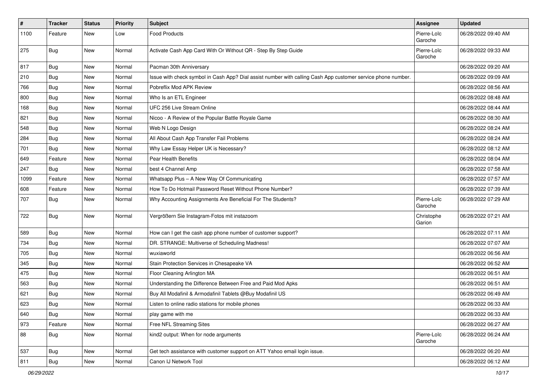| $\sharp$ | <b>Tracker</b> | <b>Status</b> | <b>Priority</b> | Subject                                                                                                      | <b>Assignee</b>        | <b>Updated</b>      |
|----------|----------------|---------------|-----------------|--------------------------------------------------------------------------------------------------------------|------------------------|---------------------|
| 1100     | Feature        | New           | Low             | Food Products                                                                                                | Pierre-Loïc<br>Garoche | 06/28/2022 09:40 AM |
| 275      | Bug            | New           | Normal          | Activate Cash App Card With Or Without QR - Step By Step Guide                                               | Pierre-Loïc<br>Garoche | 06/28/2022 09:33 AM |
| 817      | Bug            | <b>New</b>    | Normal          | Pacman 30th Anniversary                                                                                      |                        | 06/28/2022 09:20 AM |
| 210      | Bug            | New           | Normal          | Issue with check symbol in Cash App? Dial assist number with calling Cash App customer service phone number. |                        | 06/28/2022 09:09 AM |
| 766      | <b>Bug</b>     | New           | Normal          | Pobreflix Mod APK Review                                                                                     |                        | 06/28/2022 08:56 AM |
| 800      | Bug            | New           | Normal          | Who Is an ETL Engineer                                                                                       |                        | 06/28/2022 08:48 AM |
| 168      | Bug            | New           | Normal          | UFC 256 Live Stream Online                                                                                   |                        | 06/28/2022 08:44 AM |
| 821      | Bug            | New           | Normal          | Nicoo - A Review of the Popular Battle Royale Game                                                           |                        | 06/28/2022 08:30 AM |
| 548      | <b>Bug</b>     | New           | Normal          | Web N Logo Design                                                                                            |                        | 06/28/2022 08:24 AM |
| 284      | <b>Bug</b>     | <b>New</b>    | Normal          | All About Cash App Transfer Fail Problems                                                                    |                        | 06/28/2022 08:24 AM |
| 701      | Bug            | New           | Normal          | Why Law Essay Helper UK is Necessary?                                                                        |                        | 06/28/2022 08:12 AM |
| 649      | Feature        | New           | Normal          | Pear Health Benefits                                                                                         |                        | 06/28/2022 08:04 AM |
| 247      | <b>Bug</b>     | New           | Normal          | best 4 Channel Amp                                                                                           |                        | 06/28/2022 07:58 AM |
| 1099     | Feature        | New           | Normal          | Whatsapp Plus - A New Way Of Communicating                                                                   |                        | 06/28/2022 07:57 AM |
| 608      | Feature        | New           | Normal          | How To Do Hotmail Password Reset Without Phone Number?                                                       |                        | 06/28/2022 07:39 AM |
| 707      | <b>Bug</b>     | New           | Normal          | Why Accounting Assignments Are Beneficial For The Students?                                                  | Pierre-Loïc<br>Garoche | 06/28/2022 07:29 AM |
| 722      | <b>Bug</b>     | New           | Normal          | Vergrößern Sie Instagram-Fotos mit instazoom                                                                 | Christophe<br>Garion   | 06/28/2022 07:21 AM |
| 589      | Bug            | New           | Normal          | How can I get the cash app phone number of customer support?                                                 |                        | 06/28/2022 07:11 AM |
| 734      | <b>Bug</b>     | New           | Normal          | DR. STRANGE: Multiverse of Scheduling Madness!                                                               |                        | 06/28/2022 07:07 AM |
| 705      | <b>Bug</b>     | New           | Normal          | wuxiaworld                                                                                                   |                        | 06/28/2022 06:56 AM |
| 345      | Bug            | New           | Normal          | Stain Protection Services in Chesapeake VA                                                                   |                        | 06/28/2022 06:52 AM |
| 475      | Bug            | New           | Normal          | Floor Cleaning Arlington MA                                                                                  |                        | 06/28/2022 06:51 AM |
| 563      | <b>Bug</b>     | New           | Normal          | Understanding the Difference Between Free and Paid Mod Apks                                                  |                        | 06/28/2022 06:51 AM |
| 621      | Bug            | New           | Normal          | Buy All Modafinil & Armodafinil Tablets @Buy Modafinil US                                                    |                        | 06/28/2022 06:49 AM |
| 623      | <b>Bug</b>     | New           | Normal          | Listen to online radio stations for mobile phones                                                            |                        | 06/28/2022 06:33 AM |
| 640      | <b>Bug</b>     | New           | Normal          | play game with me                                                                                            |                        | 06/28/2022 06:33 AM |
| 973      | Feature        | New           | Normal          | Free NFL Streaming Sites                                                                                     |                        | 06/28/2022 06:27 AM |
| 88       | <b>Bug</b>     | New           | Normal          | kind2 output: When for node arguments                                                                        | Pierre-Loïc<br>Garoche | 06/28/2022 06:24 AM |
| 537      | <b>Bug</b>     | New           | Normal          | Get tech assistance with customer support on ATT Yahoo email login issue.                                    |                        | 06/28/2022 06:20 AM |
| 811      | <b>Bug</b>     | New           | Normal          | Canon IJ Network Tool                                                                                        |                        | 06/28/2022 06:12 AM |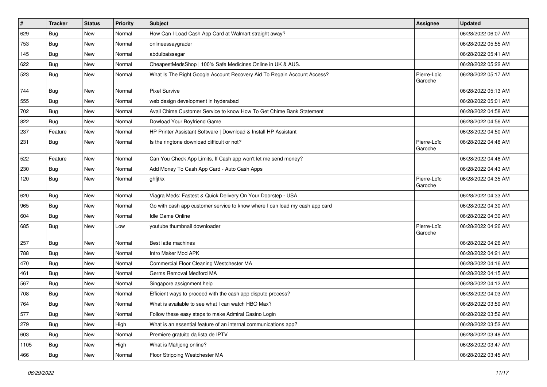| $\vert$ # | <b>Tracker</b> | <b>Status</b> | Priority | <b>Subject</b>                                                              | Assignee               | <b>Updated</b>      |
|-----------|----------------|---------------|----------|-----------------------------------------------------------------------------|------------------------|---------------------|
| 629       | <b>Bug</b>     | New           | Normal   | How Can I Load Cash App Card at Walmart straight away?                      |                        | 06/28/2022 06:07 AM |
| 753       | Bug            | New           | Normal   | onlineessaygrader                                                           |                        | 06/28/2022 05:55 AM |
| 145       | Bug            | New           | Normal   | abdulbaissagar                                                              |                        | 06/28/2022 05:41 AM |
| 622       | <b>Bug</b>     | New           | Normal   | CheapestMedsShop   100% Safe Medicines Online in UK & AUS.                  |                        | 06/28/2022 05:22 AM |
| 523       | Bug            | New           | Normal   | What Is The Right Google Account Recovery Aid To Regain Account Access?     | Pierre-Loïc<br>Garoche | 06/28/2022 05:17 AM |
| 744       | Bug            | New           | Normal   | <b>Pixel Survive</b>                                                        |                        | 06/28/2022 05:13 AM |
| 555       | Bug            | New           | Normal   | web design development in hyderabad                                         |                        | 06/28/2022 05:01 AM |
| 702       | <b>Bug</b>     | New           | Normal   | Avail Chime Customer Service to know How To Get Chime Bank Statement        |                        | 06/28/2022 04:58 AM |
| 822       | <b>Bug</b>     | <b>New</b>    | Normal   | Dowload Your Boyfriend Game                                                 |                        | 06/28/2022 04:56 AM |
| 237       | Feature        | New           | Normal   | HP Printer Assistant Software   Download & Install HP Assistant             |                        | 06/28/2022 04:50 AM |
| 231       | Bug            | New           | Normal   | Is the ringtone download difficult or not?                                  | Pierre-Loïc<br>Garoche | 06/28/2022 04:48 AM |
| 522       | Feature        | <b>New</b>    | Normal   | Can You Check App Limits, If Cash app won't let me send money?              |                        | 06/28/2022 04:46 AM |
| 230       | Bug            | <b>New</b>    | Normal   | Add Money To Cash App Card - Auto Cash Apps                                 |                        | 06/28/2022 04:43 AM |
| 120       | Bug            | New           | Normal   | ghfjtkx                                                                     | Pierre-Loïc<br>Garoche | 06/28/2022 04:35 AM |
| 620       | Bug            | <b>New</b>    | Normal   | Viagra Meds: Fastest & Quick Delivery On Your Doorstep - USA                |                        | 06/28/2022 04:33 AM |
| 965       | <b>Bug</b>     | New           | Normal   | Go with cash app customer service to know where I can load my cash app card |                        | 06/28/2022 04:30 AM |
| 604       | <b>Bug</b>     | New           | Normal   | Idle Game Online                                                            |                        | 06/28/2022 04:30 AM |
| 685       | <b>Bug</b>     | <b>New</b>    | Low      | youtube thumbnail downloader                                                | Pierre-Loïc<br>Garoche | 06/28/2022 04:26 AM |
| 257       | <b>Bug</b>     | <b>New</b>    | Normal   | Best latte machines                                                         |                        | 06/28/2022 04:26 AM |
| 788       | Bug            | <b>New</b>    | Normal   | Intro Maker Mod APK                                                         |                        | 06/28/2022 04:21 AM |
| 470       | <b>Bug</b>     | New           | Normal   | Commercial Floor Cleaning Westchester MA                                    |                        | 06/28/2022 04:16 AM |
| 461       | <b>Bug</b>     | New           | Normal   | Germs Removal Medford MA                                                    |                        | 06/28/2022 04:15 AM |
| 567       | <b>Bug</b>     | New           | Normal   | Singapore assignment help                                                   |                        | 06/28/2022 04:12 AM |
| 708       | Bug            | New           | Normal   | Efficient ways to proceed with the cash app dispute process?                |                        | 06/28/2022 04:03 AM |
| 764       | Bug            | <b>New</b>    | Normal   | What is available to see what I can watch HBO Max?                          |                        | 06/28/2022 03:59 AM |
| 577       | <b>Bug</b>     | New           | Normal   | Follow these easy steps to make Admiral Casino Login                        |                        | 06/28/2022 03:52 AM |
| 279       | <b>Bug</b>     | New           | High     | What is an essential feature of an internal communications app?             |                        | 06/28/2022 03:52 AM |
| 603       | Bug            | New           | Normal   | Premiere gratuito da lista de IPTV                                          |                        | 06/28/2022 03:48 AM |
| 1105      | Bug            | New           | High     | What is Mahjong online?                                                     |                        | 06/28/2022 03:47 AM |
| 466       | <b>Bug</b>     | New           | Normal   | Floor Stripping Westchester MA                                              |                        | 06/28/2022 03:45 AM |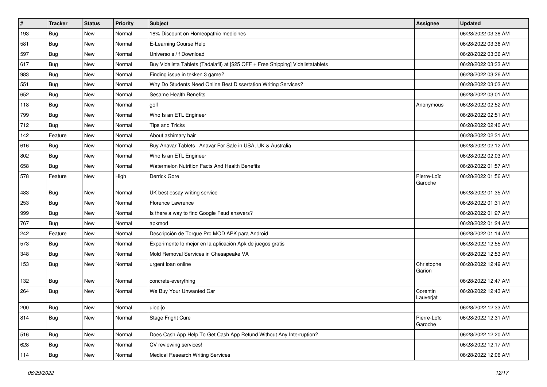| $\pmb{\sharp}$ | <b>Tracker</b> | <b>Status</b> | Priority | <b>Subject</b>                                                                   | <b>Assignee</b>        | <b>Updated</b>      |
|----------------|----------------|---------------|----------|----------------------------------------------------------------------------------|------------------------|---------------------|
| 193            | <b>Bug</b>     | New           | Normal   | 18% Discount on Homeopathic medicines                                            |                        | 06/28/2022 03:38 AM |
| 581            | <b>Bug</b>     | New           | Normal   | E-Learning Course Help                                                           |                        | 06/28/2022 03:36 AM |
| 597            | Bug            | New           | Normal   | Universo s / f Download                                                          |                        | 06/28/2022 03:36 AM |
| 617            | <b>Bug</b>     | New           | Normal   | Buy Vidalista Tablets (Tadalafil) at [\$25 OFF + Free Shipping] Vidalistatablets |                        | 06/28/2022 03:33 AM |
| 983            | <b>Bug</b>     | New           | Normal   | Finding issue in tekken 3 game?                                                  |                        | 06/28/2022 03:26 AM |
| 551            | Bug            | New           | Normal   | Why Do Students Need Online Best Dissertation Writing Services?                  |                        | 06/28/2022 03:03 AM |
| 652            | Bug            | New           | Normal   | Sesame Health Benefits                                                           |                        | 06/28/2022 03:01 AM |
| 118            | <b>Bug</b>     | New           | Normal   | golf                                                                             | Anonymous              | 06/28/2022 02:52 AM |
| 799            | Bug            | New           | Normal   | Who Is an ETL Engineer                                                           |                        | 06/28/2022 02:51 AM |
| 712            | Bug            | New           | Normal   | Tips and Tricks                                                                  |                        | 06/28/2022 02:40 AM |
| 142            | Feature        | New           | Normal   | About ashimary hair                                                              |                        | 06/28/2022 02:31 AM |
| 616            | Bug            | New           | Normal   | Buy Anavar Tablets   Anavar For Sale in USA, UK & Australia                      |                        | 06/28/2022 02:12 AM |
| 802            | Bug            | New           | Normal   | Who Is an ETL Engineer                                                           |                        | 06/28/2022 02:03 AM |
| 658            | Bug            | New           | Normal   | Watermelon Nutrition Facts And Health Benefits                                   |                        | 06/28/2022 01:57 AM |
| 578            | Feature        | New           | High     | Derrick Gore                                                                     | Pierre-Loïc<br>Garoche | 06/28/2022 01:56 AM |
| 483            | Bug            | New           | Normal   | UK best essay writing service                                                    |                        | 06/28/2022 01:35 AM |
| 253            | Bug            | New           | Normal   | Florence Lawrence                                                                |                        | 06/28/2022 01:31 AM |
| 999            | <b>Bug</b>     | New           | Normal   | Is there a way to find Google Feud answers?                                      |                        | 06/28/2022 01:27 AM |
| 767            | <b>Bug</b>     | New           | Normal   | apkmod                                                                           |                        | 06/28/2022 01:24 AM |
| 242            | Feature        | New           | Normal   | Descripción de Torque Pro MOD APK para Android                                   |                        | 06/28/2022 01:14 AM |
| 573            | Bug            | New           | Normal   | Experimente lo mejor en la aplicación Apk de juegos gratis                       |                        | 06/28/2022 12:55 AM |
| 348            | Bug            | New           | Normal   | Mold Removal Services in Chesapeake VA                                           |                        | 06/28/2022 12:53 AM |
| 153            | Bug            | New           | Normal   | urgent loan online                                                               | Christophe<br>Garion   | 06/28/2022 12:49 AM |
| 132            | Bug            | New           | Normal   | concrete-everything                                                              |                        | 06/28/2022 12:47 AM |
| 264            | <b>Bug</b>     | New           | Normal   | We Buy Your Unwanted Car                                                         | Corentin<br>Lauverjat  | 06/28/2022 12:43 AM |
| 200            | Bug            | New           | Normal   | uiopi[o                                                                          |                        | 06/28/2022 12:33 AM |
| 814            | <b>Bug</b>     | New           | Normal   | Stage Fright Cure                                                                | Pierre-Loïc<br>Garoche | 06/28/2022 12:31 AM |
| 516            | Bug            | New           | Normal   | Does Cash App Help To Get Cash App Refund Without Any Interruption?              |                        | 06/28/2022 12:20 AM |
| 628            | <b>Bug</b>     | New           | Normal   | CV reviewing services!                                                           |                        | 06/28/2022 12:17 AM |
| 114            | <b>Bug</b>     | New           | Normal   | <b>Medical Research Writing Services</b>                                         |                        | 06/28/2022 12:06 AM |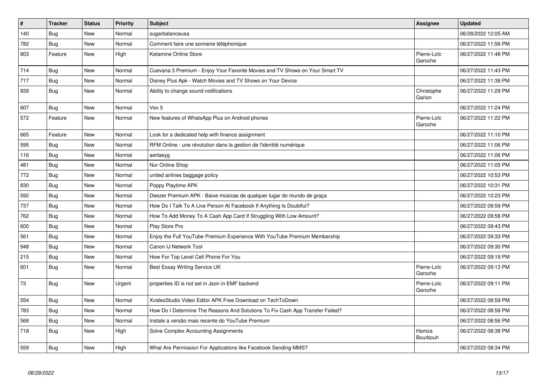| $\vert$ # | <b>Tracker</b> | <b>Status</b> | Priority | <b>Subject</b>                                                                | <b>Assignee</b>        | <b>Updated</b>      |
|-----------|----------------|---------------|----------|-------------------------------------------------------------------------------|------------------------|---------------------|
| 140       | Bug            | <b>New</b>    | Normal   | sugarbalanceusa                                                               |                        | 06/28/2022 12:05 AM |
| 782       | Bug            | <b>New</b>    | Normal   | Comment faire une sonnerie téléphonique                                       |                        | 06/27/2022 11:56 PM |
| 803       | Feature        | <b>New</b>    | High     | Ketamine Online Store                                                         | Pierre-Loïc<br>Garoche | 06/27/2022 11:48 PM |
| 714       | <b>Bug</b>     | <b>New</b>    | Normal   | Cuevana 3 Premium - Enjoy Your Favorite Movies and TV Shows on Your Smart TV  |                        | 06/27/2022 11:43 PM |
| 717       | Bug            | New           | Normal   | Disney Plus Apk - Watch Movies and TV Shows on Your Device                    |                        | 06/27/2022 11:38 PM |
| 939       | <b>Bug</b>     | New           | Normal   | Ability to change sound notifications                                         | Christophe<br>Garion   | 06/27/2022 11:29 PM |
| 607       | Bug            | New           | Normal   | Vex 5                                                                         |                        | 06/27/2022 11:24 PM |
| 572       | Feature        | <b>New</b>    | Normal   | New features of WhatsApp Plus on Android phones                               | Pierre-Loïc<br>Garoche | 06/27/2022 11:22 PM |
| 665       | Feature        | New           | Normal   | Look for a dedicated help with finance assignment                             |                        | 06/27/2022 11:10 PM |
| 595       | Bug            | New           | Normal   | RFM Online - une révolution dans la gestion de l'identité numérique           |                        | 06/27/2022 11:06 PM |
| 116       | <b>Bug</b>     | <b>New</b>    | Normal   | aertaeyg                                                                      |                        | 06/27/2022 11:06 PM |
| 481       | Bug            | New           | Normal   | Nur Online Shop                                                               |                        | 06/27/2022 11:05 PM |
| 772       | <b>Bug</b>     | New           | Normal   | united airlines baggage policy                                                |                        | 06/27/2022 10:53 PM |
| 830       | Bug            | <b>New</b>    | Normal   | Poppy Playtime APK                                                            |                        | 06/27/2022 10:31 PM |
| 592       | <b>Bug</b>     | New           | Normal   | Deezer Premium APK - Baixe músicas de qualquer lugar do mundo de graça        |                        | 06/27/2022 10:23 PM |
| 737       | Bug            | New           | Normal   | How Do I Talk To A Live Person At Facebook If Anything Is Doubtful?           |                        | 06/27/2022 09:59 PM |
| 762       | Bug            | <b>New</b>    | Normal   | How To Add Money To A Cash App Card If Struggling With Low Amount?            |                        | 06/27/2022 09:58 PM |
| 600       | Bug            | <b>New</b>    | Normal   | Play Store Pro                                                                |                        | 06/27/2022 09:43 PM |
| 561       | Bug            | <b>New</b>    | Normal   | Enjoy the Full YouTube Premium Experience With YouTube Premium Membership     |                        | 06/27/2022 09:33 PM |
| 948       | <b>Bug</b>     | New           | Normal   | Canon IJ Network Tool                                                         |                        | 06/27/2022 09:30 PM |
| 215       | Bug            | New           | Normal   | How For Top Level Cell Phone For You                                          |                        | 06/27/2022 09:19 PM |
| 601       | <b>Bug</b>     | New           | Normal   | Best Essay Writing Service UK                                                 | Pierre-Loïc<br>Garoche | 06/27/2022 09:13 PM |
| 73        | <b>Bug</b>     | <b>New</b>    | Urgent   | properties ID is not set in Json in EMF backend                               | Pierre-Loïc<br>Garoche | 06/27/2022 09:11 PM |
| 554       | Bug            | New           | Normal   | XvideoStudio Video Editor APK Free Download on TechToDown                     |                        | 06/27/2022 08:59 PM |
| 783       | Bug            | New           | Normal   | How Do I Determine The Reasons And Solutions To Fix Cash App Transfer Failed? |                        | 06/27/2022 08:58 PM |
| 568       | Bug            | New           | Normal   | Instale a versão mais recente do YouTube Premium                              |                        | 06/27/2022 08:56 PM |
| 718       | <b>Bug</b>     | New           | High     | Solve Complex Accounting Assignments                                          | Hamza<br>Bourbouh      | 06/27/2022 08:38 PM |
| 559       | <b>Bug</b>     | New           | High     | What Are Permission For Applications like Facebook Sending MMS?               |                        | 06/27/2022 08:34 PM |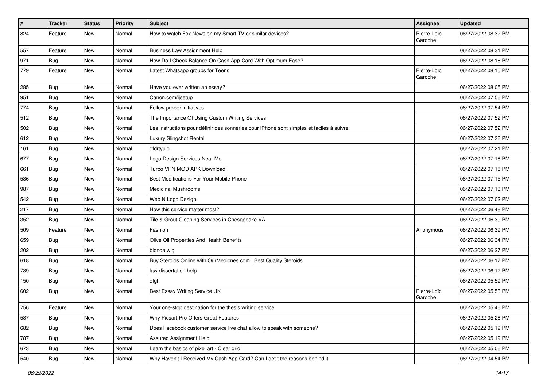| #   | Tracker    | <b>Status</b> | <b>Priority</b> | <b>Subject</b>                                                                           | <b>Assignee</b>        | <b>Updated</b>      |
|-----|------------|---------------|-----------------|------------------------------------------------------------------------------------------|------------------------|---------------------|
| 824 | Feature    | New           | Normal          | How to watch Fox News on my Smart TV or similar devices?                                 | Pierre-Loïc<br>Garoche | 06/27/2022 08:32 PM |
| 557 | Feature    | New           | Normal          | <b>Business Law Assignment Help</b>                                                      |                        | 06/27/2022 08:31 PM |
| 971 | <b>Bug</b> | New           | Normal          | How Do I Check Balance On Cash App Card With Optimum Ease?                               |                        | 06/27/2022 08:16 PM |
| 779 | Feature    | New           | Normal          | Latest Whatsapp groups for Teens                                                         | Pierre-Loïc<br>Garoche | 06/27/2022 08:15 PM |
| 285 | <b>Bug</b> | New           | Normal          | Have you ever written an essay?                                                          |                        | 06/27/2022 08:05 PM |
| 951 | Bug        | New           | Normal          | Canon.com/ijsetup                                                                        |                        | 06/27/2022 07:56 PM |
| 774 | <b>Bug</b> | New           | Normal          | Follow proper initiatives                                                                |                        | 06/27/2022 07:54 PM |
| 512 | Bug        | New           | Normal          | The Importance Of Using Custom Writing Services                                          |                        | 06/27/2022 07:52 PM |
| 502 | Bug        | New           | Normal          | Les instructions pour définir des sonneries pour iPhone sont simples et faciles à suivre |                        | 06/27/2022 07:52 PM |
| 612 | <b>Bug</b> | New           | Normal          | Luxury Slingshot Rental                                                                  |                        | 06/27/2022 07:36 PM |
| 161 | <b>Bug</b> | New           | Normal          | dfdrtyuio                                                                                |                        | 06/27/2022 07:21 PM |
| 677 | <b>Bug</b> | New           | Normal          | Logo Design Services Near Me                                                             |                        | 06/27/2022 07:18 PM |
| 661 | Bug        | New           | Normal          | Turbo VPN MOD APK Download                                                               |                        | 06/27/2022 07:18 PM |
| 586 | Bug        | New           | Normal          | Best Modifications For Your Mobile Phone                                                 |                        | 06/27/2022 07:15 PM |
| 987 | <b>Bug</b> | New           | Normal          | <b>Medicinal Mushrooms</b>                                                               |                        | 06/27/2022 07:13 PM |
| 542 | Bug        | New           | Normal          | Web N Logo Design                                                                        |                        | 06/27/2022 07:02 PM |
| 217 | Bug        | New           | Normal          | How this service matter most?                                                            |                        | 06/27/2022 06:48 PM |
| 352 | <b>Bug</b> | New           | Normal          | Tile & Grout Cleaning Services in Chesapeake VA                                          |                        | 06/27/2022 06:39 PM |
| 509 | Feature    | New           | Normal          | Fashion                                                                                  | Anonymous              | 06/27/2022 06:39 PM |
| 659 | Bug        | New           | Normal          | Olive Oil Properties And Health Benefits                                                 |                        | 06/27/2022 06:34 PM |
| 202 | Bug        | New           | Normal          | blonde wig                                                                               |                        | 06/27/2022 06:27 PM |
| 618 | Bug        | New           | Normal          | Buy Steroids Online with OurMedicnes.com   Best Quality Steroids                         |                        | 06/27/2022 06:17 PM |
| 739 | <b>Bug</b> | New           | Normal          | law dissertation help                                                                    |                        | 06/27/2022 06:12 PM |
| 150 | <b>Bug</b> | New           | Normal          | dfgh                                                                                     |                        | 06/27/2022 05:59 PM |
| 602 | Bug        | New           | Normal          | Best Essay Writing Service UK                                                            | Pierre-Loïc<br>Garoche | 06/27/2022 05:53 PM |
| 756 | Feature    | New           | Normal          | Your one-stop destination for the thesis writing service                                 |                        | 06/27/2022 05:46 PM |
| 587 | <b>Bug</b> | New           | Normal          | Why Picsart Pro Offers Great Features                                                    |                        | 06/27/2022 05:28 PM |
| 682 | <b>Bug</b> | New           | Normal          | Does Facebook customer service live chat allow to speak with someone?                    |                        | 06/27/2022 05:19 PM |
| 787 | <b>Bug</b> | New           | Normal          | Assured Assignment Help                                                                  |                        | 06/27/2022 05:19 PM |
| 673 | <b>Bug</b> | New           | Normal          | Learn the basics of pixel art - Clear grid                                               |                        | 06/27/2022 05:06 PM |
| 540 | <b>Bug</b> | New           | Normal          | Why Haven't I Received My Cash App Card? Can I get t the reasons behind it               |                        | 06/27/2022 04:54 PM |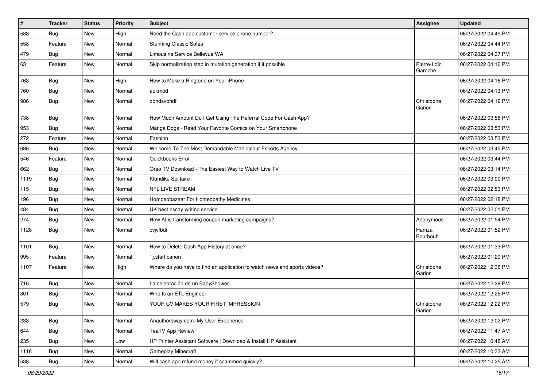| $\vert$ # | <b>Tracker</b> | <b>Status</b> | <b>Priority</b> | <b>Subject</b>                                                            | <b>Assignee</b>        | <b>Updated</b>      |
|-----------|----------------|---------------|-----------------|---------------------------------------------------------------------------|------------------------|---------------------|
| 583       | <b>Bug</b>     | New           | High            | Need the Cash app customer service phone number?                          |                        | 06/27/2022 04:49 PM |
| 558       | Feature        | New           | Normal          | <b>Stunning Classic Sofas</b>                                             |                        | 06/27/2022 04:44 PM |
| 479       | Bug            | New           | Normal          | Limousine Service Bellevue WA                                             |                        | 06/27/2022 04:37 PM |
| 63        | Feature        | New           | Normal          | Skip normalization step in mutation generation if it possible             | Pierre-Loïc<br>Garoche | 06/27/2022 04:16 PM |
| 763       | <b>Bug</b>     | New           | High            | How to Make a Ringtone on Your iPhone                                     |                        | 06/27/2022 04:16 PM |
| 760       | <b>Bug</b>     | New           | Normal          | apkmod                                                                    |                        | 06/27/2022 04:13 PM |
| 986       | Bug            | New           | Normal          | dbhdsvbhdf                                                                | Christophe<br>Garion   | 06/27/2022 04:12 PM |
| 738       | Bug            | New           | Normal          | How Much Amount Do I Get Using The Referral Code For Cash App?            |                        | 06/27/2022 03:58 PM |
| 953       | Bug            | New           | Normal          | Manga Dogs - Read Your Favorite Comics on Your Smartphone                 |                        | 06/27/2022 03:53 PM |
| 272       | Feature        | New           | Normal          | Fashion                                                                   |                        | 06/27/2022 03:53 PM |
| 686       | Bug            | New           | Normal          | Welcome To The Most Demandable Mahipalpur Escorts Agency                  |                        | 06/27/2022 03:45 PM |
| 546       | Feature        | New           | Normal          | Quickbooks Error                                                          |                        | 06/27/2022 03:44 PM |
| 662       | Bug            | New           | Normal          | Oreo TV Download - The Easiest Way to Watch Live TV                       |                        | 06/27/2022 03:14 PM |
| 1119      | Bug            | New           | Normal          | Klondike Solitaire                                                        |                        | 06/27/2022 03:00 PM |
| 115       | Bug            | New           | Normal          | <b>NFL LIVE STREAM</b>                                                    |                        | 06/27/2022 02:53 PM |
| 196       | <b>Bug</b>     | New           | Normal          | Homoeobazaar For Homeopathy Medicines                                     |                        | 06/27/2022 02:18 PM |
| 484       | <b>Bug</b>     | New           | Normal          | UK best essay writing service                                             |                        | 06/27/2022 02:01 PM |
| 274       | <b>Bug</b>     | New           | Normal          | How AI is transforming coupon marketing campaigns?                        | Anonymous              | 06/27/2022 01:54 PM |
| 1128      | Bug            | New           | Normal          | cvjvfbdi                                                                  | Hamza<br>Bourbouh      | 06/27/2022 01:52 PM |
| 1101      | <b>Bug</b>     | New           | Normal          | How to Delete Cash App History at once?                                   |                        | 06/27/2022 01:33 PM |
| 995       | Feature        | New           | Normal          | "ij.start canon                                                           |                        | 06/27/2022 01:29 PM |
| 1107      | Feature        | New           | High            | Where do you have to find an application to watch news and sports videos? | Christophe<br>Garion   | 06/27/2022 12:38 PM |
| 716       | Bug            | New           | Normal          | La celebración de un BabyShower.                                          |                        | 06/27/2022 12:29 PM |
| 801       | <b>Bug</b>     | New           | Normal          | Who Is an ETL Engineer                                                    |                        | 06/27/2022 12:25 PM |
| 579       | Bug            | New           | Normal          | YOUR CV MAKES YOUR FIRST IMPRESSION                                       | Christophe<br>Garion   | 06/27/2022 12:22 PM |
| 233       | <b>Bug</b>     | New           | Normal          | Anauthorsway.com: My User Experience                                      |                        | 06/27/2022 12:02 PM |
| 644       | <b>Bug</b>     | New           | Normal          | <b>TeaTV App Review</b>                                                   |                        | 06/27/2022 11:47 AM |
| 235       | <b>Bug</b>     | New           | Low             | HP Printer Assistant Software   Download & Install HP Assistant           |                        | 06/27/2022 10:48 AM |
| 1118      | <b>Bug</b>     | New           | Normal          | Gameplay Minecraft                                                        |                        | 06/27/2022 10:33 AM |
| 538       | <b>Bug</b>     | New           | Normal          | Will cash app refund money if scammed quickly?                            |                        | 06/27/2022 10:25 AM |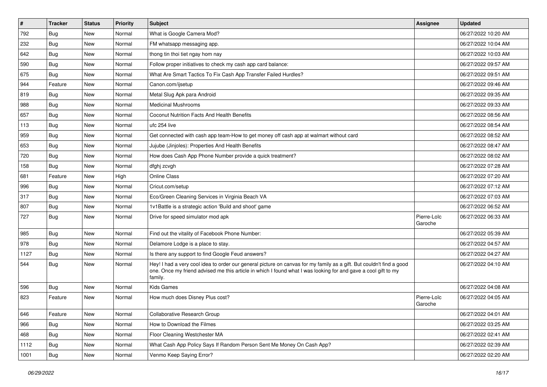| $\vert$ # | <b>Tracker</b> | <b>Status</b> | <b>Priority</b> | Subject                                                                                                                                                                                                                                           | <b>Assignee</b>        | <b>Updated</b>      |
|-----------|----------------|---------------|-----------------|---------------------------------------------------------------------------------------------------------------------------------------------------------------------------------------------------------------------------------------------------|------------------------|---------------------|
| 792       | <b>Bug</b>     | New           | Normal          | What is Google Camera Mod?                                                                                                                                                                                                                        |                        | 06/27/2022 10:20 AM |
| 232       | Bug            | New           | Normal          | FM whatsapp messaging app.                                                                                                                                                                                                                        |                        | 06/27/2022 10:04 AM |
| 642       | Bug            | New           | Normal          | thong tin thoi tiet ngay hom nay                                                                                                                                                                                                                  |                        | 06/27/2022 10:03 AM |
| 590       | <b>Bug</b>     | New           | Normal          | Follow proper initiatives to check my cash app card balance:                                                                                                                                                                                      |                        | 06/27/2022 09:57 AM |
| 675       | Bug            | New           | Normal          | What Are Smart Tactics To Fix Cash App Transfer Failed Hurdles?                                                                                                                                                                                   |                        | 06/27/2022 09:51 AM |
| 944       | Feature        | New           | Normal          | Canon.com/ijsetup                                                                                                                                                                                                                                 |                        | 06/27/2022 09:46 AM |
| 819       | <b>Bug</b>     | New           | Normal          | Metal Slug Apk para Android                                                                                                                                                                                                                       |                        | 06/27/2022 09:35 AM |
| 988       | Bug            | New           | Normal          | <b>Medicinal Mushrooms</b>                                                                                                                                                                                                                        |                        | 06/27/2022 09:33 AM |
| 657       | <b>Bug</b>     | New           | Normal          | Coconut Nutrition Facts And Health Benefits                                                                                                                                                                                                       |                        | 06/27/2022 08:56 AM |
| 113       | <b>Bug</b>     | New           | Normal          | ufc 254 live                                                                                                                                                                                                                                      |                        | 06/27/2022 08:54 AM |
| 959       | <b>Bug</b>     | New           | Normal          | Get connected with cash app team-How to get money off cash app at walmart without card                                                                                                                                                            |                        | 06/27/2022 08:52 AM |
| 653       | <b>Bug</b>     | New           | Normal          | Jujube (Jinjoles): Properties And Health Benefits                                                                                                                                                                                                 |                        | 06/27/2022 08:47 AM |
| 720       | <b>Bug</b>     | <b>New</b>    | Normal          | How does Cash App Phone Number provide a quick treatment?                                                                                                                                                                                         |                        | 06/27/2022 08:02 AM |
| 158       | Bug            | New           | Normal          | dfghj zcvgh                                                                                                                                                                                                                                       |                        | 06/27/2022 07:28 AM |
| 681       | Feature        | <b>New</b>    | High            | Online Class                                                                                                                                                                                                                                      |                        | 06/27/2022 07:20 AM |
| 996       | <b>Bug</b>     | New           | Normal          | Cricut.com/setup                                                                                                                                                                                                                                  |                        | 06/27/2022 07:12 AM |
| 317       | <b>Bug</b>     | New           | Normal          | Eco/Green Cleaning Services in Virginia Beach VA                                                                                                                                                                                                  |                        | 06/27/2022 07:03 AM |
| 807       | Bug            | New           | Normal          | 1v1Battle is a strategic action 'Build and shoot' game                                                                                                                                                                                            |                        | 06/27/2022 06:52 AM |
| 727       | <b>Bug</b>     | New           | Normal          | Drive for speed simulator mod apk                                                                                                                                                                                                                 | Pierre-Loïc<br>Garoche | 06/27/2022 06:33 AM |
| 985       | Bug            | <b>New</b>    | Normal          | Find out the vitality of Facebook Phone Number:                                                                                                                                                                                                   |                        | 06/27/2022 05:39 AM |
| 978       | Bug            | New           | Normal          | Delamore Lodge is a place to stay.                                                                                                                                                                                                                |                        | 06/27/2022 04:57 AM |
| 1127      | <b>Bug</b>     | New           | Normal          | Is there any support to find Google Feud answers?                                                                                                                                                                                                 |                        | 06/27/2022 04:27 AM |
| 544       | Bug            | New           | Normal          | Hey! I had a very cool idea to order our general picture on canvas for my family as a gift. But couldn't find a good<br>one. Once my friend advised me this article in which I found what I was looking for and gave a cool gift to my<br>family. |                        | 06/27/2022 04:10 AM |
| 596       | Bug            | New           | Normal          | <b>Kids Games</b>                                                                                                                                                                                                                                 |                        | 06/27/2022 04:08 AM |
| 823       | Feature        | New           | Normal          | How much does Disney Plus cost?                                                                                                                                                                                                                   | Pierre-Loïc<br>Garoche | 06/27/2022 04:05 AM |
| 646       | Feature        | New           | Normal          | Collaborative Research Group                                                                                                                                                                                                                      |                        | 06/27/2022 04:01 AM |
| 966       | <b>Bug</b>     | New           | Normal          | How to Download the Filmes                                                                                                                                                                                                                        |                        | 06/27/2022 03:25 AM |
| 468       | <b>Bug</b>     | New           | Normal          | Floor Cleaning Westchester MA                                                                                                                                                                                                                     |                        | 06/27/2022 02:41 AM |
| 1112      | <b>Bug</b>     | New           | Normal          | What Cash App Policy Says If Random Person Sent Me Money On Cash App?                                                                                                                                                                             |                        | 06/27/2022 02:39 AM |
| 1001      | <b>Bug</b>     | New           | Normal          | Venmo Keep Saying Error?                                                                                                                                                                                                                          |                        | 06/27/2022 02:20 AM |